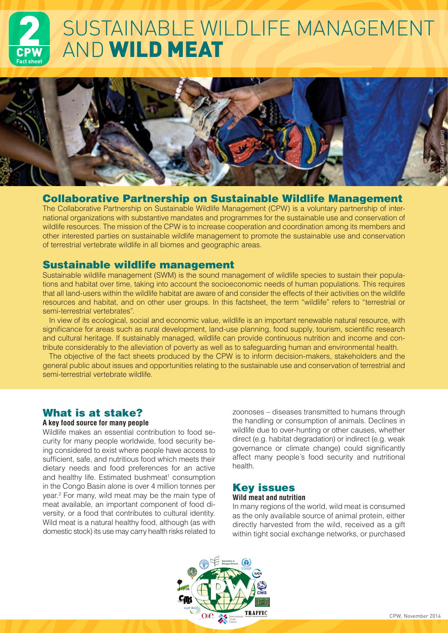# CPW **Fact sheet** SUSTAINABLE WILDLIFE MANAGEMENT AND WILD MEAT



## Collaborative Partnership on Sustainable Wildlife Management

The Collaborative Partnership on Sustainable Wildlife Management (CPW) is a voluntary partnership of international organizations with substantive mandates and programmes for the sustainable use and conservation of wildlife resources. The mission of the CPW is to increase cooperation and coordination among its members and other interested parties on sustainable wildlife management to promote the sustainable use and conservation of terrestrial vertebrate wildlife in all biomes and geographic areas.

## Sustainable wildlife management

Sustainable wildlife management (SWM) is the sound management of wildlife species to sustain their populations and habitat over time, taking into account the socioeconomic needs of human populations. This requires that all land-users within the wildlife habitat are aware of and consider the effects of their activities on the wildlife resources and habitat, and on other user groups. In this factsheet, the term "wildlife" refers to "terrestrial or semi-terrestrial vertebrates".

In view of its ecological, social and economic value, wildlife is an important renewable natural resource, with significance for areas such as rural development, land-use planning, food supply, tourism, scientific research and cultural heritage. If sustainably managed, wildlife can provide continuous nutrition and income and contribute considerably to the alleviation of poverty as well as to safeguarding human and environmental health.

The objective of the fact sheets produced by the CPW is to inform decision-makers, stakeholders and the general public about issues and opportunities relating to the sustainable use and conservation of terrestrial and semi-terrestrial vertebrate wildlife.

## What is at stake?

### **A key food source for many people**

Wildlife makes an essential contribution to food security for many people worldwide, food security being considered to exist where people have access to sufficient, safe, and nutritious food which meets their dietary needs and food preferences for an active and healthy life. Estimated bushmeat<sup>1</sup> consumption in the Congo Basin alone is over 4 million tonnes per year.2 For many, wild meat may be the main type of meat available, an important component of food diversity, or a food that contributes to cultural identity. Wild meat is a natural healthy food, although (as with domestic stock) its use may carry health risks related to

zoonoses – diseases transmitted to humans through the handling or consumption of animals. Declines in wildlife due to over-hunting or other causes, whether direct (e.g. habitat degradation) or indirect (e.g. weak governance or climate change) could significantly affect many people´s food security and nutritional health.

# Key issues

### **Wild meat and nutrition**

In many regions of the world, wild meat is consumed as the only available source of animal protein, either directly harvested from the wild, received as a gift within tight social exchange networks, or purchased

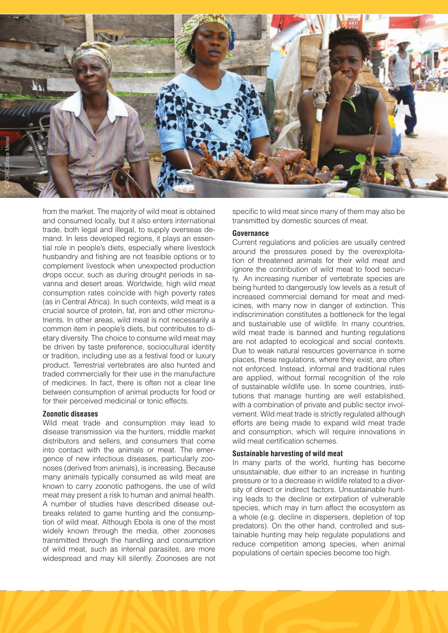

from the market. The majority of wild meat is obtained and consumed locally, but it also enters international trade, both legal and illegal, to supply overseas demand. In less developed regions, it plays an essential role in people's diets, especially where livestock husbandry and fishing are not feasible options or to complement livestock when unexpected production drops occur, such as during drought periods in savanna and desert areas. Worldwide, high wild meat consumption rates coincide with high poverty rates (as in Central Africa). In such contexts, wild meat is a crucial source of protein, fat, iron and other micronutrients. In other areas, wild meat is not necessarily a common item in people's diets, but contributes to dietary diversity. The choice to consume wild meat may be driven by taste preference, sociocultural identity or tradition, including use as a festival food or luxury product. Terrestrial vertebrates are also hunted and traded commercially for their use in the manufacture of medicines. In fact, there is often not a clear line between consumption of animal products for food or for their perceived medicinal or tonic effects.

#### **Zoonotic diseases**

Wild meat trade and consumption may lead to disease transmission via the hunters, middle market distributors and sellers, and consumers that come into contact with the animals or meat. The emergence of new infectious diseases, particularly zoonoses (derived from animals), is increasing. Because many animals typically consumed as wild meat are known to carry zoonotic pathogens, the use of wild meat may present a risk to human and animal health. A number of studies have described disease outbreaks related to game hunting and the consumption of wild meat. Although Ebola is one of the most widely known through the media, other zoonoses transmitted through the handling and consumption of wild meat, such as internal parasites, are more widespread and may kill silently. Zoonoses are not

specific to wild meat since many of them may also be transmitted by domestic sources of meat.

#### **Governance**

Current regulations and policies are usually centred around the pressures posed by the overexploitation of threatened animals for their wild meat and ignore the contribution of wild meat to food security. An increasing number of vertebrate species are being hunted to dangerously low levels as a result of increased commercial demand for meat and medicines, with many now in danger of extinction. This indiscrimination constitutes a bottleneck for the legal and sustainable use of wildlife. In many countries, wild meat trade is banned and hunting regulations are not adapted to ecological and social contexts. Due to weak natural resources governance in some places, these regulations, where they exist, are often not enforced. Instead, informal and traditional rules are applied, without formal recognition of the role of sustainable wildlife use. In some countries, institutions that manage hunting are well established, with a combination of private and public sector involvement. Wild meat trade is strictly regulated although efforts are being made to expand wild meat trade and consumption, which will require innovations in wild meat certification schemes.

#### **Sustainable harvesting of wild meat**

In many parts of the world, hunting has become unsustainable, due either to an increase in hunting pressure or to a decrease in wildlife related to a diversity of direct or indirect factors. Unsustainable hunting leads to the decline or extirpation of vulnerable species, which may in turn affect the ecosystem as a whole (e.g. decline in dispersers, depletion of top predators). On the other hand, controlled and sustainable hunting may help regulate populations and reduce competition among species, when animal populations of certain species become too high.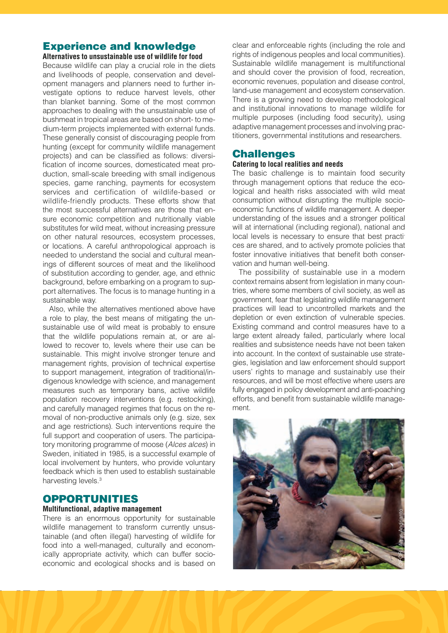### Experience and knowledge **Alternatives to unsustainable use of wildlife for food**

Because wildlife can play a crucial role in the diets and livelihoods of people, conservation and development managers and planners need to further investigate options to reduce harvest levels, other than blanket banning. Some of the most common approaches to dealing with the unsustainable use of bushmeat in tropical areas are based on short- to medium-term projects implemented with external funds. These generally consist of discouraging people from hunting (except for community wildlife management projects) and can be classified as follows: diversification of income sources, domesticated meat production, small-scale breeding with small indigenous species, game ranching, payments for ecosystem services and certification of wildlife-based or wildlife-friendly products. These efforts show that the most successful alternatives are those that ensure economic competition and nutritionally viable substitutes for wild meat, without increasing pressure on other natural resources, ecosystem processes, or locations. A careful anthropological approach is needed to understand the social and cultural meanings of different sources of meat and the likelihood of substitution according to gender, age, and ethnic background, before embarking on a program to support alternatives. The focus is to manage hunting in a sustainable way.

Also, while the alternatives mentioned above have a role to play, the best means of mitigating the unsustainable use of wild meat is probably to ensure that the wildlife populations remain at, or are allowed to recover to, levels where their use can be sustainable. This might involve stronger tenure and management rights, provision of technical expertise to support management, integration of traditional/indigenous knowledge with science, and management measures such as temporary bans, active wildlife population recovery interventions (e.g. restocking), and carefully managed regimes that focus on the removal of non-productive animals only (e.g. size, sex and age restrictions). Such interventions require the full support and cooperation of users. The participatory monitoring programme of moose (*Alces alces*) in Sweden, initiated in 1985, is a successful example of local involvement by hunters, who provide voluntary feedback which is then used to establish sustainable harvesting levels.<sup>3</sup>

### OPPORTUNITIES

### **Multifunctional, adaptive management**

There is an enormous opportunity for sustainable wildlife management to transform currently unsustainable (and often illegal) harvesting of wildlife for food into a well-managed, culturally and economically appropriate activity, which can buffer socioeconomic and ecological shocks and is based on

clear and enforceable rights (including the role and rights of indigenous peoples and local communities). Sustainable wildlife management is multifunctional and should cover the provision of food, recreation, economic revenues, population and disease control, land-use management and ecosystem conservation. There is a growing need to develop methodological and institutional innovations to manage wildlife for multiple purposes (including food security), using adaptive management processes and involving practitioners, governmental institutions and researchers.

### **Challenges**

### **Catering to local realities and needs**

The basic challenge is to maintain food security through management options that reduce the ecological and health risks associated with wild meat consumption without disrupting the multiple socioeconomic functions of wildlife management. A deeper understanding of the issues and a stronger political will at international (including regional), national and local levels is necessary to ensure that best practices are shared, and to actively promote policies that foster innovative initiatives that benefit both conservation and human well-being.

The possibility of sustainable use in a modern context remains absent from legislation in many countries, where some members of civil society, as well as government, fear that legislating wildlife management practices will lead to uncontrolled markets and the depletion or even extinction of vulnerable species. Existing command and control measures have to a large extent already failed, particularly where local realities and subsistence needs have not been taken into account. In the context of sustainable use strategies, legislation and law enforcement should support users' rights to manage and sustainably use their resources, and will be most effective where users are fully engaged in policy development and anti-poaching efforts, and benefit from sustainable wildlife management.